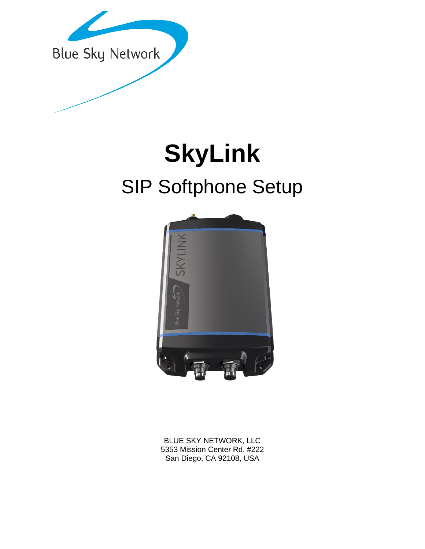

# **SkyLink** SIP Softphone Setup



BLUE SKY NETWORK, LLC 5353 Mission Center Rd. #222 San Diego, CA 92108, USA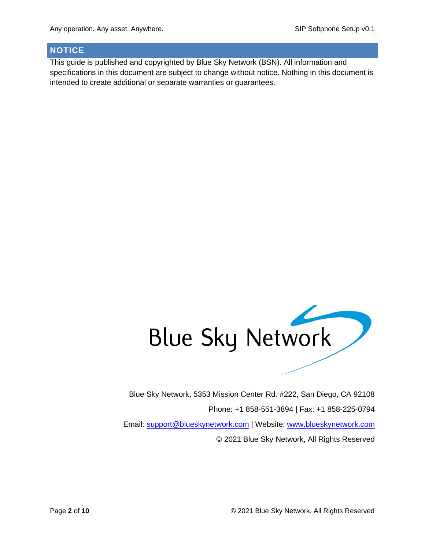### <span id="page-1-0"></span>**NOTICE**

This guide is published and copyrighted by Blue Sky Network (BSN). All information and specifications in this document are subject to change without notice. Nothing in this document is intended to create additional or separate warranties or guarantees.



Blue Sky Network, 5353 Mission Center Rd. #222, San Diego, CA 92108 Phone: +1 858-551-3894 | Fax: +1 858-225-0794 Email: [support@blueskynetwork.com](mailto:support@blueskynetwork.com) | Website: [www.blueskynetwork.com](http://www.blueskynetwork.com/) © 2021 Blue Sky Network, All Rights Reserved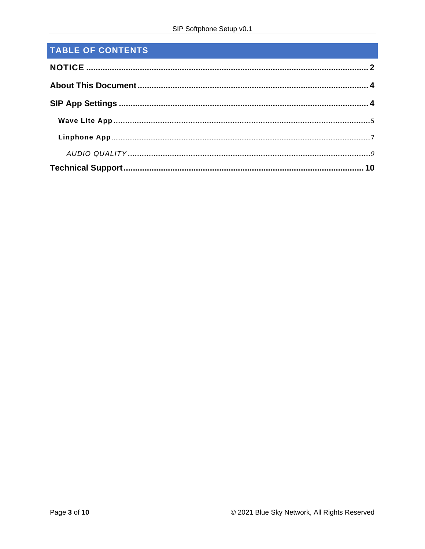# TABLE OF CONTENTS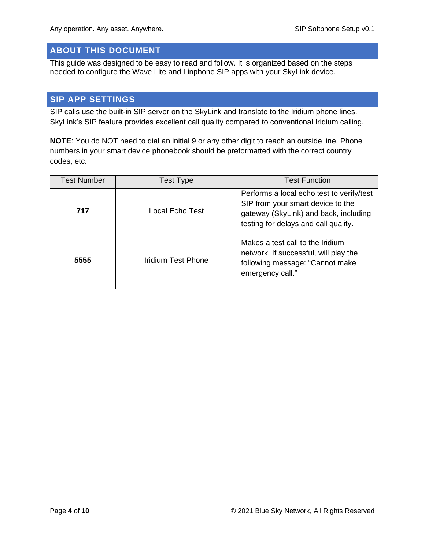# <span id="page-3-0"></span>**ABOUT THIS DOCUMENT**

This guide was designed to be easy to read and follow. It is organized based on the steps needed to configure the Wave Lite and Linphone SIP apps with your SkyLink device.

# <span id="page-3-1"></span>**SIP APP SETTINGS**

SIP calls use the built-in SIP server on the SkyLink and translate to the Iridium phone lines. SkyLink's SIP feature provides excellent call quality compared to conventional Iridium calling.

**NOTE:** You do NOT need to dial an initial 9 or any other digit to reach an outside line. Phone numbers in your smart device phonebook should be preformatted with the correct country codes, etc.

| <b>Test Number</b> | <b>Test Type</b>   | <b>Test Function</b>                                                                                                                                            |
|--------------------|--------------------|-----------------------------------------------------------------------------------------------------------------------------------------------------------------|
| 717                | Local Echo Test    | Performs a local echo test to verify/test<br>SIP from your smart device to the<br>gateway (SkyLink) and back, including<br>testing for delays and call quality. |
| 5555               | Iridium Test Phone | Makes a test call to the Iridium<br>network. If successful, will play the<br>following message: "Cannot make<br>emergency call."                                |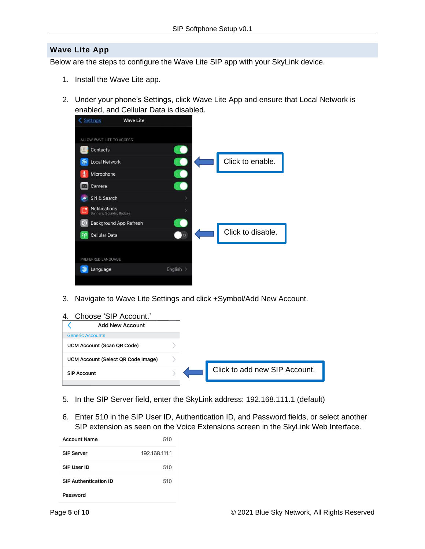### <span id="page-4-0"></span>**Wave Lite App**

Below are the steps to configure the Wave Lite SIP app with your SkyLink device.

- 1. Install the Wave Lite app.
- 2. Under your phone's Settings, click Wave Lite App and ensure that Local Network is enabled, and Cellular Data is disabled.



- 3. Navigate to Wave Lite Settings and click +Symbol/Add New Account.
- 4. Choose 'SIP Account.'



- 5. In the SIP Server field, enter the SkyLink address: 192.168.111.1 (default)
- 6. Enter 510 in the SIP User ID, Authentication ID, and Password fields, or select another SIP extension as seen on the Voice Extensions screen in the SkyLink Web Interface.

| <b>Account Name</b>          | 510           |
|------------------------------|---------------|
| <b>SIP Server</b>            | 192.168.111.1 |
| SIP User ID                  | 510           |
| <b>SIP Authentication ID</b> | 510           |
| Password                     |               |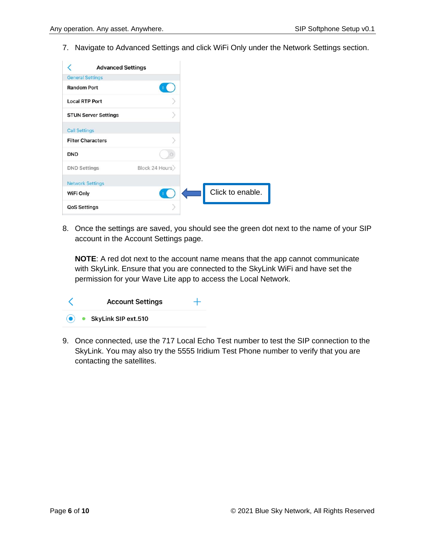7. Navigate to Advanced Settings and click WiFi Only under the Network Settings section.

| <b>Advanced Settings</b>    |                |                  |
|-----------------------------|----------------|------------------|
| <b>General Settings</b>     |                |                  |
| <b>Random Port</b>          |                |                  |
| <b>Local RTP Port</b>       |                |                  |
| <b>STUN Server Settings</b> |                |                  |
| <b>Call Settings</b>        |                |                  |
| <b>Filter Characters</b>    |                |                  |
| <b>DND</b>                  |                |                  |
| <b>DND Settings</b>         | Block 24 Hours |                  |
| <b>Network Settings</b>     |                |                  |
| WiFi Only                   |                | Click to enable. |
| <b>QoS Settings</b>         |                |                  |

8. Once the settings are saved, you should see the green dot next to the name of your SIP account in the Account Settings page.

**NOTE**: A red dot next to the account name means that the app cannot communicate with SkyLink. Ensure that you are connected to the SkyLink WiFi and have set the permission for your Wave Lite app to access the Local Network.

| <b>Account Settings</b>       |  |
|-------------------------------|--|
| $\bullet$ SkyLink SIP ext.510 |  |

9. Once connected, use the 717 Local Echo Test number to test the SIP connection to the SkyLink. You may also try the 5555 Iridium Test Phone number to verify that you are contacting the satellites.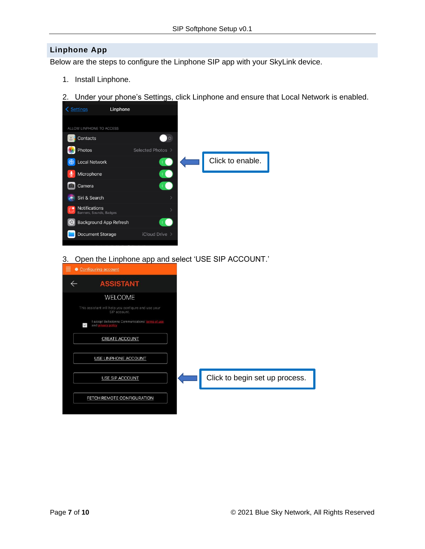### <span id="page-6-0"></span>**Linphone App**

Below are the steps to configure the Linphone SIP app with your SkyLink device.

- 1. Install Linphone.
- 2. Under your phone's Settings, click Linphone and ensure that Local Network is enabled.



3. Open the Linphone app and select 'USE SIP ACCOUNT.'

| Configuring account                                                     |                                |
|-------------------------------------------------------------------------|--------------------------------|
| <b>ASSISTANT</b>                                                        |                                |
| WELCOME                                                                 |                                |
| This assistant will help you configure and use your<br>SIP account.     |                                |
| I accept Belledonne Communications' terms of use<br>$\checkmark$<br>and |                                |
| <b>CREATE ACCOUNT</b>                                                   |                                |
| USE LINPHONE ACCOUNT                                                    |                                |
| <b>USE SIP ACCOUNT</b>                                                  | Click to begin set up process. |
| FETCH REMOTE CONFIGURATION                                              |                                |
|                                                                         |                                |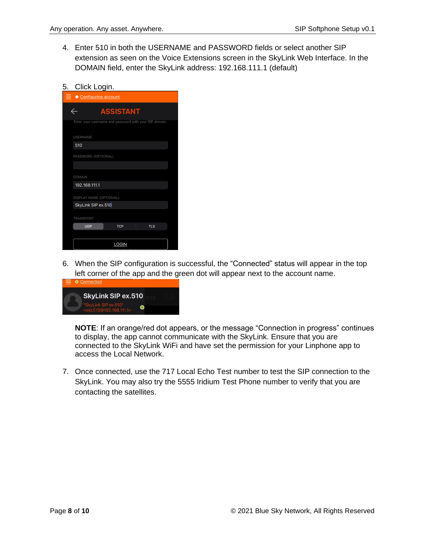- 4. Enter 510 in both the USERNAME and PASSWORD fields or select another SIP extension as seen on the Voice Extensions screen in the SkyLink Web Interface. In the DOMAIN field, enter the SkyLink address: 192.168.111.1 (default)
- 5. Click Login.

| $\equiv$ $\bullet$ Configuring account |                                                        |            |  |  |  |
|----------------------------------------|--------------------------------------------------------|------------|--|--|--|
| $\leftarrow$                           | <b>ASSISTANT</b>                                       |            |  |  |  |
|                                        | Enter your username and password with your SIP domain. |            |  |  |  |
| <b>USERNAME</b>                        |                                                        |            |  |  |  |
| 510                                    |                                                        |            |  |  |  |
| PASSWORD (OPTIONAL)                    |                                                        |            |  |  |  |
|                                        |                                                        |            |  |  |  |
| <b>DOMAIN</b>                          |                                                        |            |  |  |  |
| 192.168.111.1                          |                                                        |            |  |  |  |
|                                        | DISPLAY NAME (OPTIONAL)                                |            |  |  |  |
| SkyLink SIP ex.510                     |                                                        |            |  |  |  |
| TRANSPORT                              |                                                        |            |  |  |  |
| <b>UDP</b>                             | <b>TCP</b>                                             | <b>TLS</b> |  |  |  |
|                                        |                                                        |            |  |  |  |
|                                        | <b>LOGIN</b>                                           |            |  |  |  |

6. When the SIP configuration is successful, the "Connected" status will appear in the top left corner of the app and the green dot will appear next to the account name.



**NOTE**: If an orange/red dot appears, or the message "Connection in progress" continues to display, the app cannot communicate with the SkyLink. Ensure that you are connected to the SkyLink WiFi and have set the permission for your Linphone app to access the Local Network.

7. Once connected, use the 717 Local Echo Test number to test the SIP connection to the SkyLink. You may also try the 5555 Iridium Test Phone number to verify that you are contacting the satellites.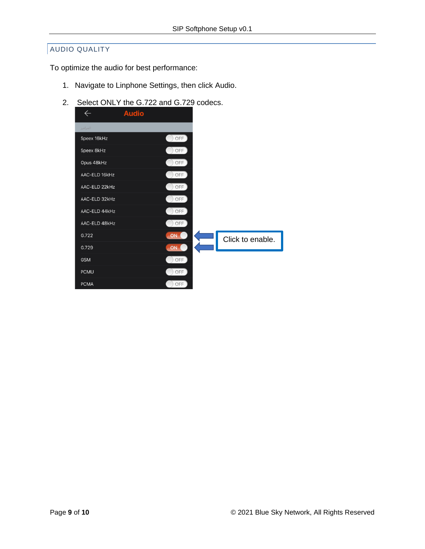### <span id="page-8-0"></span>AUDIO QUALITY

To optimize the audio for best performance:

- 1. Navigate to Linphone Settings, then click Audio.
- 2. Select ONLY the G.722 and G.729 codecs.